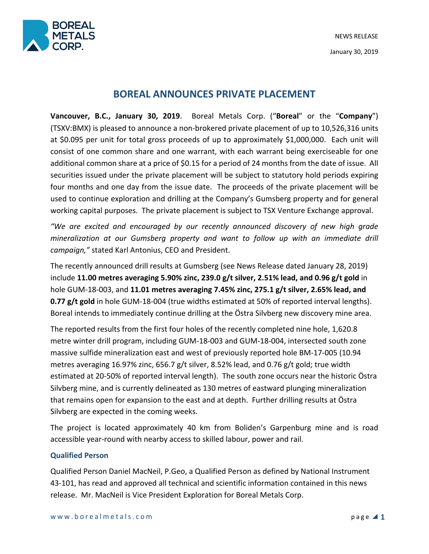



# **BOREAL ANNOUNCES PRIVATE PLACEMENT**

**Vancouver, B.C., January 30, 2019**. Boreal Metals Corp. ("**Boreal**" or the "**Company**") (TSXV:BMX) is pleased to announce a non-brokered private placement of up to 10,526,316 units at \$0.095 per unit for total gross proceeds of up to approximately \$1,000,000. Each unit will consist of one common share and one warrant, with each warrant being exerciseable for one additional common share at a price of \$0.15 for a period of 24 months from the date of issue. All securities issued under the private placement will be subject to statutory hold periods expiring four months and one day from the issue date. The proceeds of the private placement will be used to continue exploration and drilling at the Company's Gumsberg property and for general working capital purposes. The private placement is subject to TSX Venture Exchange approval.

*"We are excited and encouraged by our recently announced discovery of new high grade mineralization at our Gumsberg property and want to follow up with an immediate drill campaign,"* stated Karl Antonius, CEO and President.

The recently announced drill results at Gumsberg (see News Release dated January 28, 2019) include **11.00 metres averaging 5.90% zinc, 239.0 g/t silver, 2.51% lead, and 0.96 g/t gold** in hole GUM-18-003, and **11.01 metres averaging 7.45% zinc, 275.1 g/t silver, 2.65% lead, and 0.77 g/t gold** in hole GUM-18-004 (true widths estimated at 50% of reported interval lengths). Boreal intends to immediately continue drilling at the Östra Silvberg new discovery mine area.

The reported results from the first four holes of the recently completed nine hole, 1,620.8 metre winter drill program, including GUM-18-003 and GUM-18-004, intersected south zone massive sulfide mineralization east and west of previously reported hole BM-17-005 (10.94 metres averaging 16.97% zinc, 656.7 g/t silver, 8.52% lead, and 0.76 g/t gold; true width estimated at 20-50% of reported interval length). The south zone occurs near the historic Östra Silvberg mine, and is currently delineated as 130 metres of eastward plunging mineralization that remains open for expansion to the east and at depth. Further drilling results at Östra Silvberg are expected in the coming weeks.

The project is located approximately 40 km from Boliden's Garpenburg mine and is road accessible year-round with nearby access to skilled labour, power and rail.

## **Qualified Person**

Qualified Person Daniel MacNeil, P.Geo, a Qualified Person as defined by National Instrument 43-101, has read and approved all technical and scientific information contained in this news release. Mr. MacNeil is Vice President Exploration for Boreal Metals Corp.